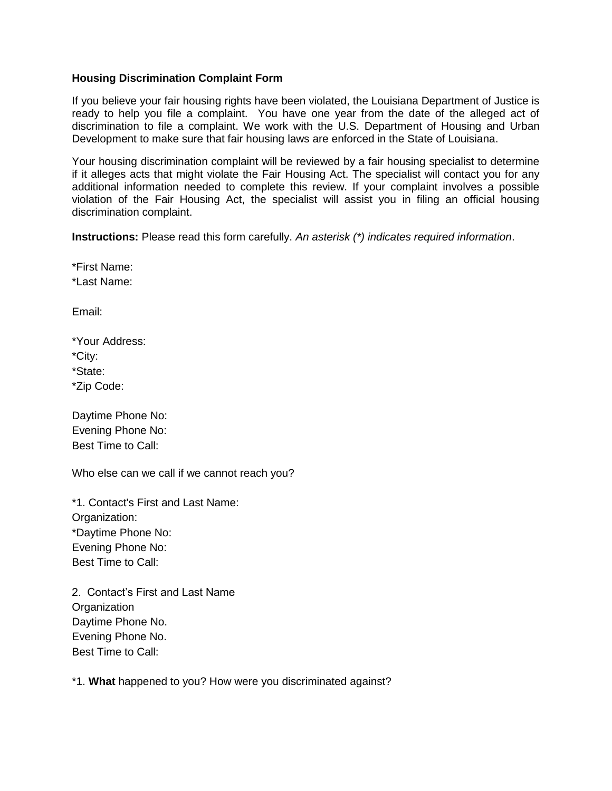## **Housing Discrimination Complaint Form**

If you believe your fair housing rights have been violated, the Louisiana Department of Justice is ready to help you file a complaint. You have one year from the date of the alleged act of discrimination to file a complaint. We work with the U.S. Department of Housing and Urban Development to make sure that fair housing laws are enforced in the State of Louisiana.

Your housing discrimination complaint will be reviewed by a fair housing specialist to determine if it alleges acts that might violate the Fair Housing Act. The specialist will contact you for any additional information needed to complete this review. If your complaint involves a possible violation of the Fair Housing Act, the specialist will assist you in filing an official housing discrimination complaint.

**Instructions:** Please read this form carefully. *An asterisk (\*) indicates required information*.

\*First Name: \*Last Name:

Email:

| *Your Address: |
|----------------|
| *City:         |
| *State:        |
| *Zip Code:     |

Daytime Phone No: Evening Phone No: Best Time to Call:

Who else can we call if we cannot reach you?

\*1. Contact's First and Last Name: Organization: \*Daytime Phone No: Evening Phone No: Best Time to Call:

2. Contact's First and Last Name **Organization** Daytime Phone No. Evening Phone No. Best Time to Call:

\*1. **What** happened to you? How were you discriminated against?